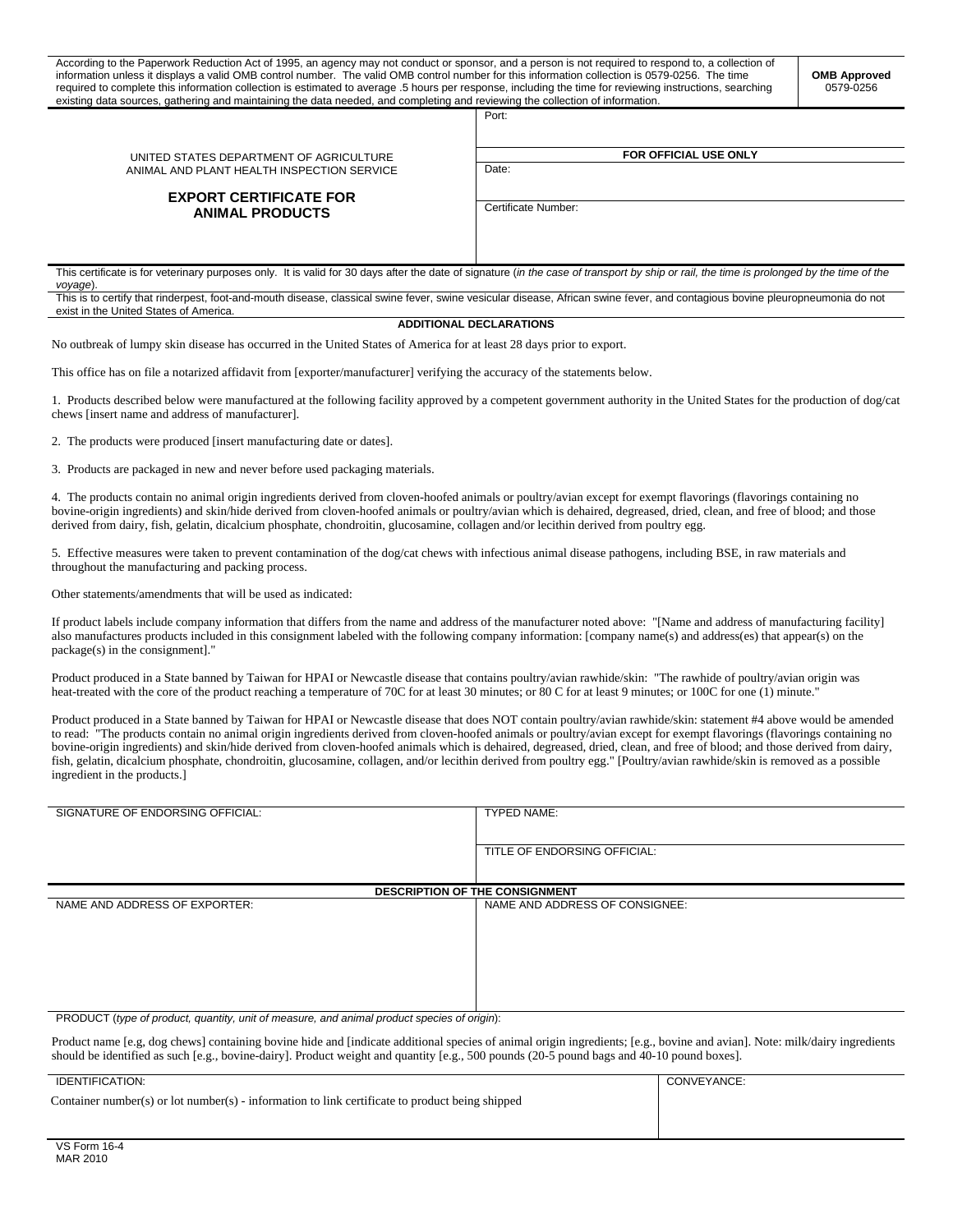| According to the Paperwork Reduction Act of 1995, an agency may not conduct or sponsor, and a person is not required to respond to, a collection of<br>information unless it displays a valid OMB control number. The valid OMB control number for this information collection is 0579-0256. The time<br><b>OMB Approved</b><br>required to complete this information collection is estimated to average .5 hours per response, including the time for reviewing instructions, searching<br>0579-0256<br>existing data sources, gathering and maintaining the data needed, and completing and reviewing the collection of information. |                              |  |  |
|----------------------------------------------------------------------------------------------------------------------------------------------------------------------------------------------------------------------------------------------------------------------------------------------------------------------------------------------------------------------------------------------------------------------------------------------------------------------------------------------------------------------------------------------------------------------------------------------------------------------------------------|------------------------------|--|--|
|                                                                                                                                                                                                                                                                                                                                                                                                                                                                                                                                                                                                                                        | Port:                        |  |  |
| UNITED STATES DEPARTMENT OF AGRICULTURE<br>ANIMAL AND PLANT HEALTH INSPECTION SERVICE                                                                                                                                                                                                                                                                                                                                                                                                                                                                                                                                                  | <b>FOR OFFICIAL USE ONLY</b> |  |  |
|                                                                                                                                                                                                                                                                                                                                                                                                                                                                                                                                                                                                                                        | Date:                        |  |  |
|                                                                                                                                                                                                                                                                                                                                                                                                                                                                                                                                                                                                                                        |                              |  |  |
| <b>EXPORT CERTIFICATE FOR</b><br><b>ANIMAL PRODUCTS</b>                                                                                                                                                                                                                                                                                                                                                                                                                                                                                                                                                                                |                              |  |  |
|                                                                                                                                                                                                                                                                                                                                                                                                                                                                                                                                                                                                                                        | Certificate Number:          |  |  |
|                                                                                                                                                                                                                                                                                                                                                                                                                                                                                                                                                                                                                                        |                              |  |  |
| This certificate is for veterinary purposes only. It is valid for 30 days after the date of signature (in the case of transport by ship or rail, the time is prolonged by the time of the<br>voyage).                                                                                                                                                                                                                                                                                                                                                                                                                                  |                              |  |  |
| This is to certify that rinderpest, foot-and-mouth disease, classical swine fever, swine vesicular disease, African swine fever, and contagious bovine pleuropneumonia do not<br>exist in the United States of America.                                                                                                                                                                                                                                                                                                                                                                                                                |                              |  |  |
| <b>ADDITIONAL DECLARATIONS</b>                                                                                                                                                                                                                                                                                                                                                                                                                                                                                                                                                                                                         |                              |  |  |
|                                                                                                                                                                                                                                                                                                                                                                                                                                                                                                                                                                                                                                        |                              |  |  |

No outbreak of lumpy skin disease has occurred in the United States of America for at least 28 days prior to export.

This office has on file a notarized affidavit from [exporter/manufacturer] verifying the accuracy of the statements below.

1. Products described below were manufactured at the following facility approved by a competent government authority in the United States for the production of dog/cat chews [insert name and address of manufacturer].

2. The products were produced [insert manufacturing date or dates].

3. Products are packaged in new and never before used packaging materials.

4. The products contain no animal origin ingredients derived from cloven-hoofed animals or poultry/avian except for exempt flavorings (flavorings containing no bovine-origin ingredients) and skin/hide derived from cloven-hoofed animals or poultry/avian which is dehaired, degreased, dried, clean, and free of blood; and those derived from dairy, fish, gelatin, dicalcium phosphate, chondroitin, glucosamine, collagen and/or lecithin derived from poultry egg.

5. Effective measures were taken to prevent contamination of the dog/cat chews with infectious animal disease pathogens, including BSE, in raw materials and throughout the manufacturing and packing process.

Other statements/amendments that will be used as indicated:

If product labels include company information that differs from the name and address of the manufacturer noted above: "[Name and address of manufacturing facility] also manufactures products included in this consignment labeled with the following company information: [company name(s) and address(es) that appear(s) on the package(s) in the consignment]."

Product produced in a State banned by Taiwan for HPAI or Newcastle disease that contains poultry/avian rawhide/skin: "The rawhide of poultry/avian origin was heat-treated with the core of the product reaching a temperature of 70C for at least 30 minutes; or 80 C for at least 9 minutes; or 100C for one (1) minute."

Product produced in a State banned by Taiwan for HPAI or Newcastle disease that does NOT contain poultry/avian rawhide/skin: statement #4 above would be amended to read: "The products contain no animal origin ingredients derived from cloven-hoofed animals or poultry/avian except for exempt flavorings (flavorings containing no bovine-origin ingredients) and skin/hide derived from cloven-hoofed animals which is dehaired, degreased, dried, clean, and free of blood; and those derived from dairy, fish, gelatin, dicalcium phosphate, chondroitin, glucosamine, collagen, and/or lecithin derived from poultry egg." [Poultry/avian rawhide/skin is removed as a possible ingredient in the products.]

| SIGNATURE OF ENDORSING OFFICIAL:      | TYPED NAME:                    |  |
|---------------------------------------|--------------------------------|--|
|                                       |                                |  |
|                                       |                                |  |
|                                       | TITLE OF ENDORSING OFFICIAL:   |  |
|                                       |                                |  |
|                                       |                                |  |
|                                       |                                |  |
| <b>DESCRIPTION OF THE CONSIGNMENT</b> |                                |  |
| NAME AND ADDRESS OF EXPORTER:         | NAME AND ADDRESS OF CONSIGNEE: |  |
|                                       |                                |  |
|                                       |                                |  |
|                                       |                                |  |
|                                       |                                |  |
|                                       |                                |  |
|                                       |                                |  |
|                                       |                                |  |
|                                       |                                |  |
|                                       |                                |  |

PRODUCT (*type of product, quantity, unit of measure, and animal product species of origin*):

Product name [e.g, dog chews] containing bovine hide and [indicate additional species of animal origin ingredients; [e.g., bovine and avian]. Note: milk/dairy ingredients should be identified as such [e.g., bovine-dairy]. Product weight and quantity [e.g., 500 pounds (20-5 pound bags and 40-10 pound boxes].

| Container number(s) or lot number(s) - information to link certificate to product being shipped |             |
|-------------------------------------------------------------------------------------------------|-------------|
| IDENTIFICATION:                                                                                 | CONVEYANCE: |